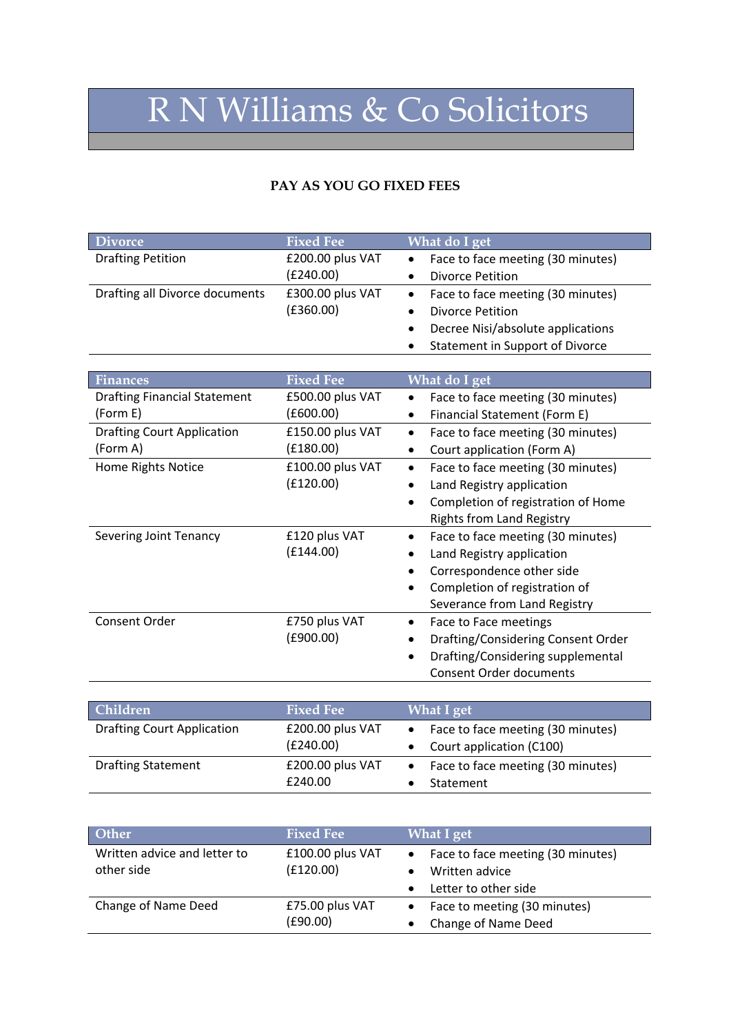## R N Williams & Co Solicitors

## **PAY AS YOU GO FIXED FEES**

| <b>Divorce</b>                 | <b>Fixed Fee</b> | What do I get                                  |
|--------------------------------|------------------|------------------------------------------------|
| <b>Drafting Petition</b>       | £200.00 plus VAT | • Face to face meeting (30 minutes)            |
|                                | (£240.00)        | <b>Divorce Petition</b>                        |
| Drafting all Divorce documents | £300.00 plus VAT | • Face to face meeting (30 minutes)            |
|                                | (E360.00)        | <b>Divorce Petition</b>                        |
|                                |                  | Decree Nisi/absolute applications<br>$\bullet$ |
|                                |                  | Statement in Support of Divorce                |

| <b>Finances</b>                     | <b>Fixed Fee</b> | What do I get                      |
|-------------------------------------|------------------|------------------------------------|
| <b>Drafting Financial Statement</b> | £500.00 plus VAT | Face to face meeting (30 minutes)  |
| (Form E)                            | (£600.00)        | Financial Statement (Form E)       |
| <b>Drafting Court Application</b>   | £150.00 plus VAT | Face to face meeting (30 minutes)  |
| (Form A)                            | (£180.00)        | Court application (Form A)         |
| Home Rights Notice                  | £100.00 plus VAT | Face to face meeting (30 minutes)  |
|                                     | (E120.00)        | Land Registry application          |
|                                     |                  | Completion of registration of Home |
|                                     |                  | <b>Rights from Land Registry</b>   |
| Severing Joint Tenancy              | £120 plus VAT    | Face to face meeting (30 minutes)  |
|                                     | (£144.00)        | Land Registry application          |
|                                     |                  | Correspondence other side          |
|                                     |                  | Completion of registration of      |
|                                     |                  | Severance from Land Registry       |
| Consent Order                       | £750 plus VAT    | Face to Face meetings              |
|                                     | (£900.00)        | Drafting/Considering Consent Order |
|                                     |                  | Drafting/Considering supplemental  |
|                                     |                  | <b>Consent Order documents</b>     |

| <b>Children</b>                   | <b>Fixed Fee</b>              | <b>What I get</b>                                                          |
|-----------------------------------|-------------------------------|----------------------------------------------------------------------------|
| <b>Drafting Court Application</b> | £200.00 plus VAT<br>(E240.00) | Face to face meeting (30 minutes)<br>$\bullet$<br>Court application (C100) |
| <b>Drafting Statement</b>         | £200.00 plus VAT<br>£240.00   | Face to face meeting (30 minutes)<br>$\bullet$<br>Statement                |

| Other                                      | <b>Fixed Fee</b>              | <b>What I get</b>                                     |
|--------------------------------------------|-------------------------------|-------------------------------------------------------|
| Written advice and letter to<br>other side | £100.00 plus VAT<br>(f120.00) | • Face to face meeting (30 minutes)<br>Written advice |
|                                            |                               | Letter to other side<br>$\bullet$                     |
| Change of Name Deed                        | £75.00 plus VAT<br>(E90.00)   | • Face to meeting (30 minutes)<br>Change of Name Deed |